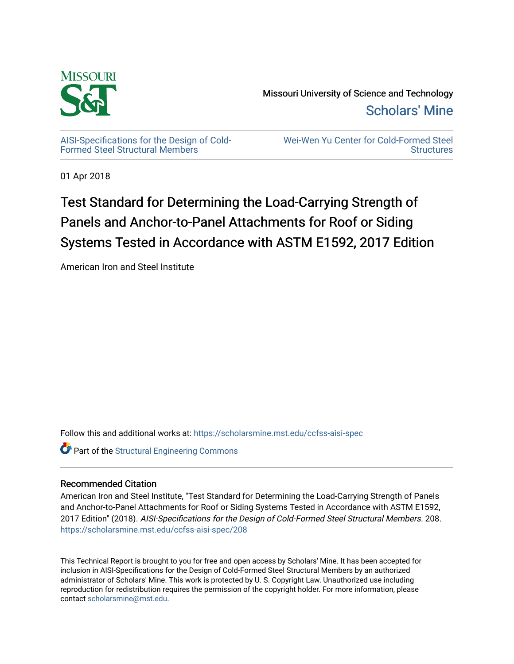

[AISI-Specifications for the Design of Cold-](https://scholarsmine.mst.edu/ccfss-aisi-spec)[Formed Steel Structural Members](https://scholarsmine.mst.edu/ccfss-aisi-spec)

[Wei-Wen Yu Center for Cold-Formed Steel](https://scholarsmine.mst.edu/ccfss)  **Structures** 

01 Apr 2018

## Test Standard for Determining the Load-Carrying Strength of Panels and Anchor-to-Panel Attachments for Roof or Siding Systems Tested in Accordance with ASTM E1592, 2017 Edition

American Iron and Steel Institute

Follow this and additional works at: [https://scholarsmine.mst.edu/ccfss-aisi-spec](https://scholarsmine.mst.edu/ccfss-aisi-spec?utm_source=scholarsmine.mst.edu%2Fccfss-aisi-spec%2F208&utm_medium=PDF&utm_campaign=PDFCoverPages) 

**Part of the Structural Engineering Commons** 

## Recommended Citation

American Iron and Steel Institute, "Test Standard for Determining the Load-Carrying Strength of Panels and Anchor-to-Panel Attachments for Roof or Siding Systems Tested in Accordance with ASTM E1592, 2017 Edition" (2018). AISI-Specifications for the Design of Cold-Formed Steel Structural Members. 208. [https://scholarsmine.mst.edu/ccfss-aisi-spec/208](https://scholarsmine.mst.edu/ccfss-aisi-spec/208?utm_source=scholarsmine.mst.edu%2Fccfss-aisi-spec%2F208&utm_medium=PDF&utm_campaign=PDFCoverPages) 

This Technical Report is brought to you for free and open access by Scholars' Mine. It has been accepted for inclusion in AISI-Specifications for the Design of Cold-Formed Steel Structural Members by an authorized administrator of Scholars' Mine. This work is protected by U. S. Copyright Law. Unauthorized use including reproduction for redistribution requires the permission of the copyright holder. For more information, please contact [scholarsmine@mst.edu](mailto:scholarsmine@mst.edu).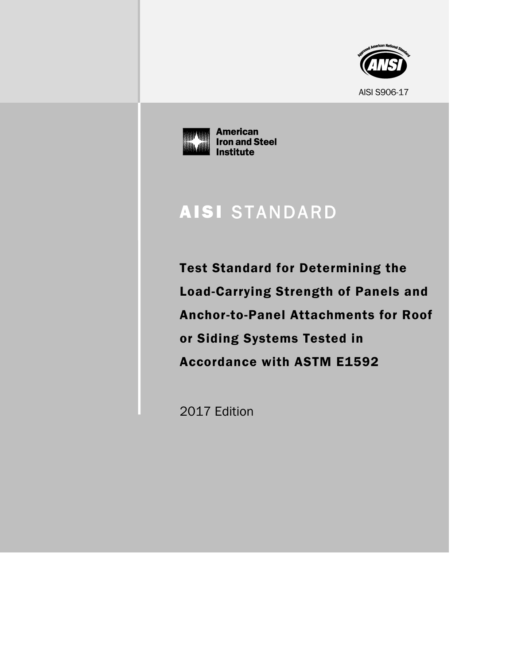



# **AISI STANDARD**

Test Standard for Determining the Load-Carrying Strength of Panels and Anchor-to-Panel Attachments for Roof or Siding Systems Tested in Accordance with ASTM E1592

2017 Edition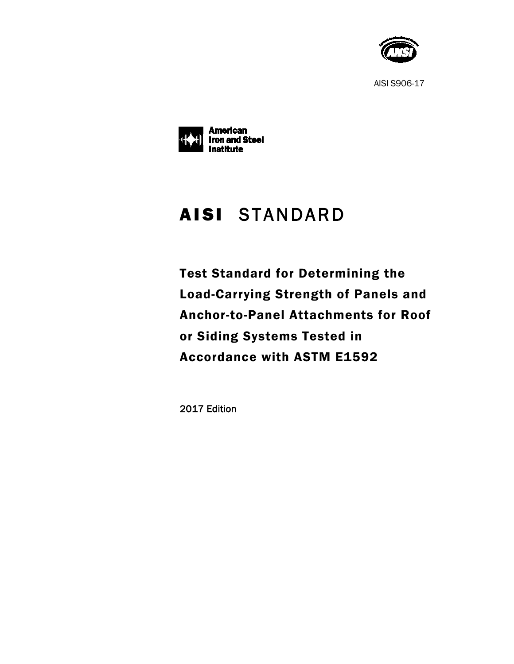

AISI S906-17



## AISI STANDARD

Test Standard for Determining the Load-Carrying Strength of Panels and Anchor-to-Panel Attachments for Roof or Siding Systems Tested in Accordance with ASTM E1592

2017 Edition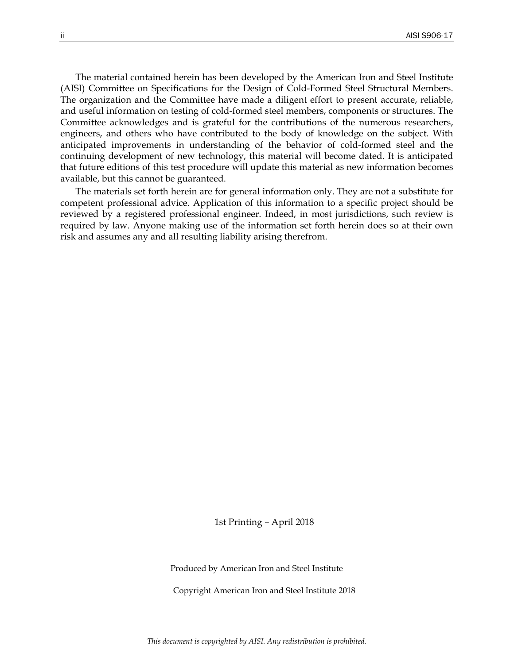The material contained herein has been developed by the American Iron and Steel Institute (AISI) Committee on Specifications for the Design of Cold-Formed Steel Structural Members. The organization and the Committee have made a diligent effort to present accurate, reliable, and useful information on testing of cold-formed steel members, components or structures. The Committee acknowledges and is grateful for the contributions of the numerous researchers, engineers, and others who have contributed to the body of knowledge on the subject. With anticipated improvements in understanding of the behavior of cold-formed steel and the continuing development of new technology, this material will become dated. It is anticipated that future editions of this test procedure will update this material as new information becomes available, but this cannot be guaranteed.

The materials set forth herein are for general information only. They are not a substitute for competent professional advice. Application of this information to a specific project should be reviewed by a registered professional engineer. Indeed, in most jurisdictions, such review is required by law. Anyone making use of the information set forth herein does so at their own risk and assumes any and all resulting liability arising therefrom.

1st Printing – April 2018

Produced by American Iron and Steel Institute

Copyright American Iron and Steel Institute 2018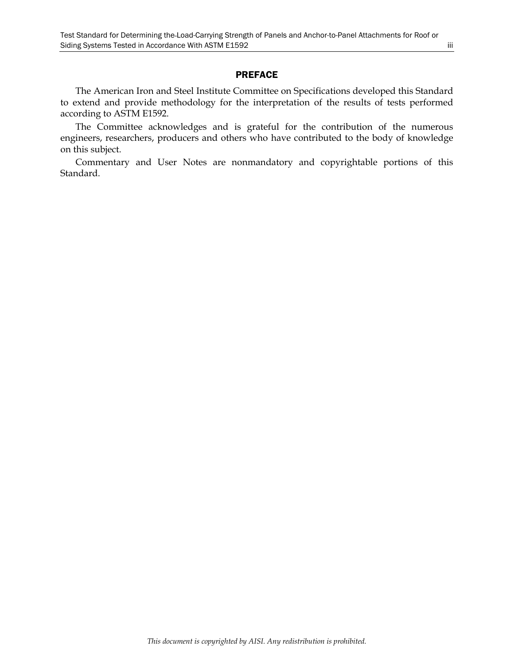#### PREFACE

The American Iron and Steel Institute Committee on Specifications developed this Standard to extend and provide methodology for the interpretation of the results of tests performed according to ASTM E1592.

The Committee acknowledges and is grateful for the contribution of the numerous engineers, researchers, producers and others who have contributed to the body of knowledge on this subject.

Commentary and User Notes are nonmandatory and copyrightable portions of this Standard.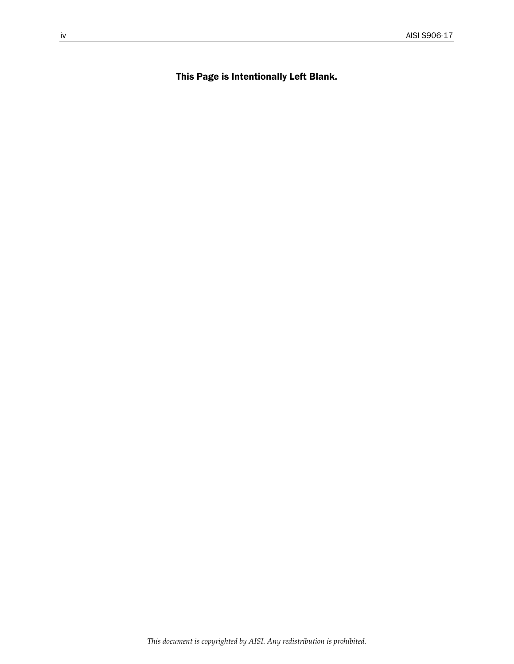This Page is Intentionally Left Blank.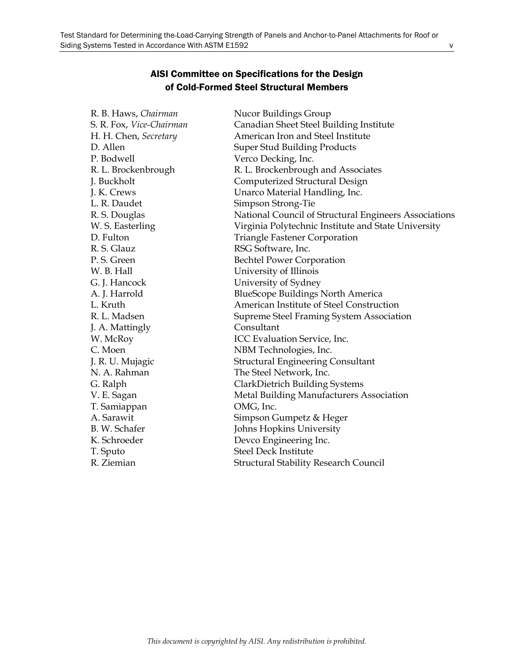## AISI Committee on Specifications for the Design of Cold-Formed Steel Structural Members

P. Bodwell Verco Decking, Inc. L. R. Daudet Simpson Strong-Tie R. S. Glauz RSG Software, Inc. P. S. Green Bechtel Power Corporation W. B. Hall **University of Illinois** G. J. Hancock University of Sydney J. A. Mattingly Consultant C. Moen NBM Technologies, Inc. N. A. Rahman The Steel Network, Inc. T. Samiappan OMG, Inc. B. W. Schafer Johns Hopkins University K. Schroeder Devco Engineering Inc. T. Sputo Steel Deck Institute

R. B. Haws, *Chairman* Nucor Buildings Group S. R. Fox, *Vice-Chairman* Canadian Sheet Steel Building Institute H. H. Chen, *Secretary* American Iron and Steel Institute D. Allen Super Stud Building Products R. L. Brockenbrough R. L. Brockenbrough and Associates J. Buckholt Computerized Structural Design J. K. Crews Unarco Material Handling, Inc. R. S. Douglas **National Council of Structural Engineers Associations** W. S. Easterling Virginia Polytechnic Institute and State University D. Fulton Triangle Fastener Corporation A. J. Harrold BlueScope Buildings North America L. Kruth American Institute of Steel Construction R. L. Madsen Supreme Steel Framing System Association W. McRoy **ICC Evaluation Service**, Inc. J. R. U. Mujagic Structural Engineering Consultant G. Ralph ClarkDietrich Building Systems V. E. Sagan **Metal Building Manufacturers Association** A. Sarawit Simpson Gumpetz & Heger R. Ziemian Structural Stability Research Council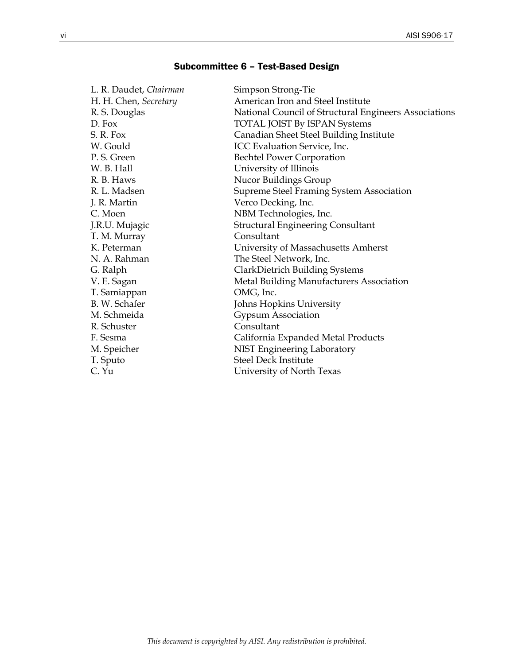## Subcommittee 6 – Test-Based Design

| L. R. Daudet, Chairman | Simpson Strong-Tie                                    |  |
|------------------------|-------------------------------------------------------|--|
| H. H. Chen, Secretary  | American Iron and Steel Institute                     |  |
| R. S. Douglas          | National Council of Structural Engineers Associations |  |
| D. Fox                 | <b>TOTAL JOIST By ISPAN Systems</b>                   |  |
| S. R. Fox              | Canadian Sheet Steel Building Institute               |  |
| W. Gould               | ICC Evaluation Service, Inc.                          |  |
| P. S. Green            | <b>Bechtel Power Corporation</b>                      |  |
| W. B. Hall             | University of Illinois                                |  |
| R. B. Haws             | Nucor Buildings Group                                 |  |
| R. L. Madsen           | Supreme Steel Framing System Association              |  |
| J. R. Martin           | Verco Decking, Inc.                                   |  |
| C. Moen                | NBM Technologies, Inc.                                |  |
| J.R.U. Mujagic         | <b>Structural Engineering Consultant</b>              |  |
| T. M. Murray           | Consultant                                            |  |
| K. Peterman            | University of Massachusetts Amherst                   |  |
| N. A. Rahman           | The Steel Network, Inc.                               |  |
| G. Ralph               | <b>ClarkDietrich Building Systems</b>                 |  |
| V. E. Sagan            | Metal Building Manufacturers Association              |  |
| T. Samiappan           | OMG, Inc.                                             |  |
| B. W. Schafer          | Johns Hopkins University                              |  |
| M. Schmeida            | <b>Gypsum Association</b>                             |  |
| R. Schuster            | Consultant                                            |  |
| F. Sesma               | California Expanded Metal Products                    |  |
| M. Speicher            | NIST Engineering Laboratory                           |  |
| T. Sputo               | <b>Steel Deck Institute</b>                           |  |
| C. Yu                  | University of North Texas                             |  |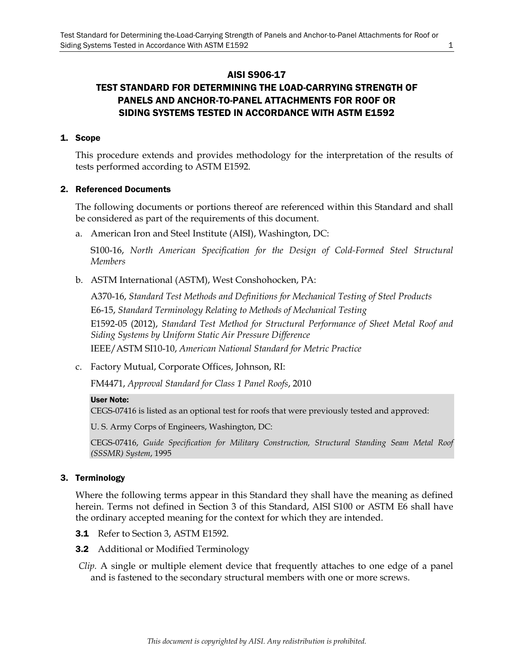## AISI S906-17

## TEST STANDARD FOR DETERMINING THE LOAD-CARRYING STRENGTH OF PANELS AND ANCHOR-TO-PANEL ATTACHMENTS FOR ROOF OR SIDING SYSTEMS TESTED IN ACCORDANCE WITH ASTM E1592

## 1. Scope

This procedure extends and provides methodology for the interpretation of the results of tests performed according to ASTM E1592.

## 2. Referenced Documents

The following documents or portions thereof are referenced within this Standard and shall be considered as part of the requirements of this document.

a. American Iron and Steel Institute (AISI), Washington, DC:

S100-16, *North American Specification for the Design of Cold-Formed Steel Structural Members*

b. ASTM International (ASTM), West Conshohocken, PA:

A370-16, *Standard Test Methods and Definitions for Mechanical Testing of Steel Products* E6-15, *Standard Terminology Relating to Methods of Mechanical Testing* E1592-05 (2012), *Standard Test Method for Structural Performance of Sheet Metal Roof and Siding Systems by Uniform Static Air Pressure Difference* IEEE/ASTM SI10-10, *American National Standard for Metric Practice*

c. Factory Mutual, Corporate Offices, Johnson, RI:

FM4471, *Approval Standard for Class 1 Panel Roofs*, 2010

## User Note:

CEGS-07416 is listed as an optional test for roofs that were previously tested and approved:

U. S. Army Corps of Engineers, Washington, DC:

CEGS-07416, *Guide Specification for Military Construction, Structural Standing Seam Metal Roof (SSSMR) System*, 1995

## 3. Terminology

Where the following terms appear in this Standard they shall have the meaning as defined herein. Terms not defined in Section 3 of this Standard, AISI S100 or ASTM E6 shall have the ordinary accepted meaning for the context for which they are intended.

- **3.1** Refer to Section 3, ASTM E1592.
- **3.2** Additional or Modified Terminology

*Clip.* A single or multiple element device that frequently attaches to one edge of a panel and is fastened to the secondary structural members with one or more screws.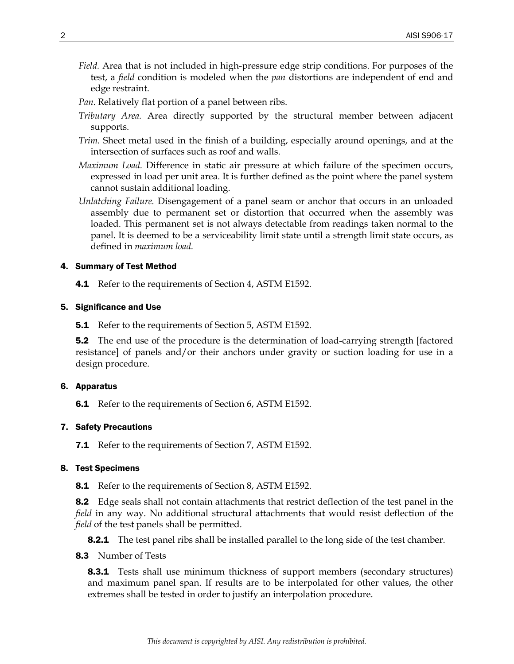*Field.* Area that is not included in high-pressure edge strip conditions. For purposes of the test, a *field* condition is modeled when the *pan* distortions are independent of end and edge restraint.

*Pan.* Relatively flat portion of a panel between ribs.

- *Tributary Area.* Area directly supported by the structural member between adjacent supports.
- *Trim.* Sheet metal used in the finish of a building, especially around openings, and at the intersection of surfaces such as roof and walls.
- *Maximum Load.* Difference in static air pressure at which failure of the specimen occurs, expressed in load per unit area. It is further defined as the point where the panel system cannot sustain additional loading.
- *Unlatching Failure.* Disengagement of a panel seam or anchor that occurs in an unloaded assembly due to permanent set or distortion that occurred when the assembly was loaded. This permanent set is not always detectable from readings taken normal to the panel. It is deemed to be a serviceability limit state until a strength limit state occurs, as defined in *maximum load*.

#### 4. Summary of Test Method

**4.1** Refer to the requirements of Section 4, ASTM E1592.

#### 5. Significance and Use

**5.1** Refer to the requirements of Section 5, ASTM E1592.

**5.2** The end use of the procedure is the determination of load-carrying strength [factored resistance] of panels and/or their anchors under gravity or suction loading for use in a design procedure.

#### 6. Apparatus

**6.1** Refer to the requirements of Section 6, ASTM E1592.

#### 7. Safety Precautions

**7.1** Refer to the requirements of Section 7, ASTM E1592.

#### 8. Test Specimens

**8.1** Refer to the requirements of Section 8, ASTM E1592.

**8.2** Edge seals shall not contain attachments that restrict deflection of the test panel in the *field* in any way. No additional structural attachments that would resist deflection of the *field* of the test panels shall be permitted.

**8.2.1** The test panel ribs shall be installed parallel to the long side of the test chamber.

8.3 Number of Tests

**8.3.1** Tests shall use minimum thickness of support members (secondary structures) and maximum panel span. If results are to be interpolated for other values, the other extremes shall be tested in order to justify an interpolation procedure.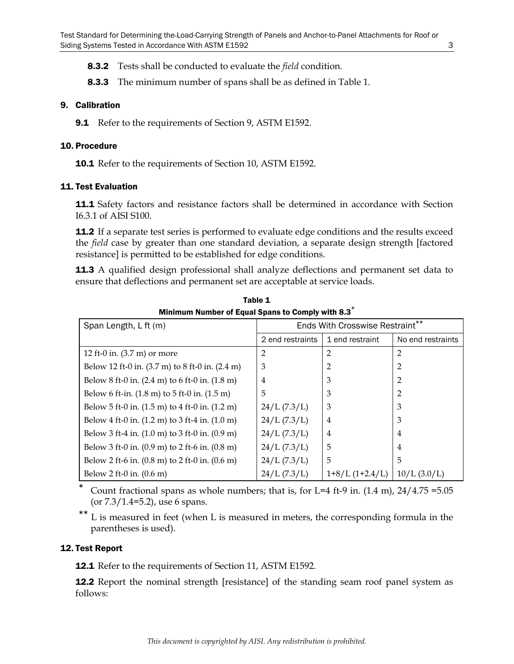8.3.2 Tests shall be conducted to evaluate the *field* condition.

**8.3.3** The minimum number of spans shall be as defined in Table 1.

#### 9. Calibration

**9.1** Refer to the requirements of Section 9, ASTM E1592.

#### 10. Procedure

**10.1** Refer to the requirements of Section 10, ASTM E1592.

## 11. Test Evaluation

**11.1** Safety factors and resistance factors shall be determined in accordance with Section I6.3.1 of AISI S100.

**11.2** If a separate test series is performed to evaluate edge conditions and the results exceed the *field* case by greater than one standard deviation, a separate design strength [factored resistance] is permitted to be established for edge conditions.

**11.3** A qualified design professional shall analyze deflections and permanent set data to ensure that deflections and permanent set are acceptable at service loads.

| <b>MUNIMUM NUMBER OF EQUAL SPAIRS TO COMPTY WILLI 0.3</b>          |                                 |                   |                   |  |
|--------------------------------------------------------------------|---------------------------------|-------------------|-------------------|--|
| Span Length, L ft (m)                                              | Ends With Crosswise Restraint** |                   |                   |  |
|                                                                    | 2 end restraints                | 1 end restraint   | No end restraints |  |
| 12 ft-0 in. $(3.7 \text{ m})$ or more                              | 2                               | $\overline{2}$    | $\overline{2}$    |  |
| Below 12 ft-0 in. (3.7 m) to 8 ft-0 in. (2.4 m)                    | 3                               | 2                 | 2                 |  |
| Below 8 ft-0 in. (2.4 m) to 6 ft-0 in. (1.8 m)                     | 4                               | 3                 | $\overline{2}$    |  |
| Below 6 ft-in. $(1.8 \text{ m})$ to 5 ft-0 in. $(1.5 \text{ m})$   | 5                               | 3                 | 2                 |  |
| Below 5 ft-0 in. $(1.5 \text{ m})$ to 4 ft-0 in. $(1.2 \text{ m})$ | 24/L (7.3/L)                    | 3                 | 3                 |  |
| Below 4 ft-0 in. $(1.2 \text{ m})$ to 3 ft-4 in. $(1.0 \text{ m})$ | 24/L (7.3/L)                    | $\overline{4}$    | 3                 |  |
| Below 3 ft-4 in. $(1.0 \text{ m})$ to 3 ft-0 in. $(0.9 \text{ m})$ | 24/L (7.3/L)                    | 4                 | 4                 |  |
| Below 3 ft-0 in. $(0.9 \text{ m})$ to 2 ft-6 in. $(0.8 \text{ m})$ | 24/L (7.3/L)                    | 5                 | $\overline{4}$    |  |
| Below 2 ft-6 in. $(0.8 \text{ m})$ to 2 ft-0 in. $(0.6 \text{ m})$ | 24/L (7.3/L)                    | 5                 | 5                 |  |
| Below 2 ft-0 in. $(0.6 \text{ m})$                                 | 24/L (7.3/L)                    | $1+8/L$ (1+2.4/L) | 10/L (3.0/L)      |  |

Table 1 Minimum Number of Equal Spans to Comply with 8.3\*

 $\ast$ Count fractional spans as whole numbers; that is, for L=4 ft-9 in.  $(1.4 \text{ m})$ ,  $24/4.75 = 5.05$ (or 7.3/1.4=5.2), use 6 spans.

 $***$ L is measured in feet (when L is measured in meters, the corresponding formula in the parentheses is used).

#### 12. Test Report

**12.1** Refer to the requirements of Section 11, ASTM E1592.

**12.2** Report the nominal strength [resistance] of the standing seam roof panel system as follows: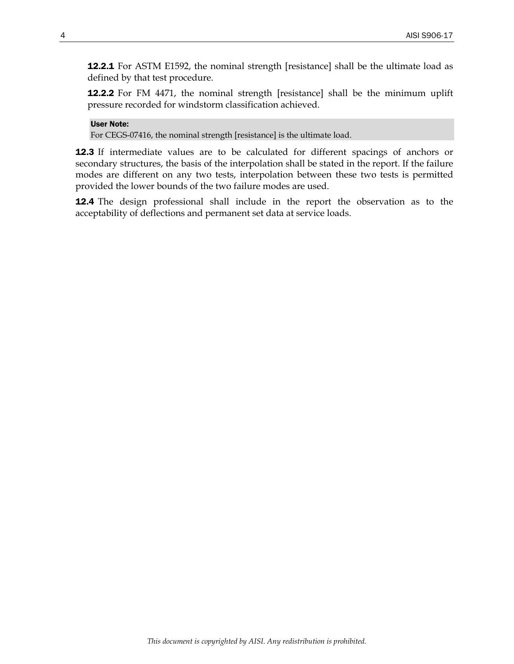**12.2.1** For ASTM E1592, the nominal strength [resistance] shall be the ultimate load as defined by that test procedure.

**12.2.2** For FM 4471, the nominal strength [resistance] shall be the minimum uplift pressure recorded for windstorm classification achieved.

#### User Note:

For CEGS-07416, the nominal strength [resistance] is the ultimate load.

**12.3** If intermediate values are to be calculated for different spacings of anchors or secondary structures, the basis of the interpolation shall be stated in the report. If the failure modes are different on any two tests, interpolation between these two tests is permitted provided the lower bounds of the two failure modes are used.

**12.4** The design professional shall include in the report the observation as to the acceptability of deflections and permanent set data at service loads.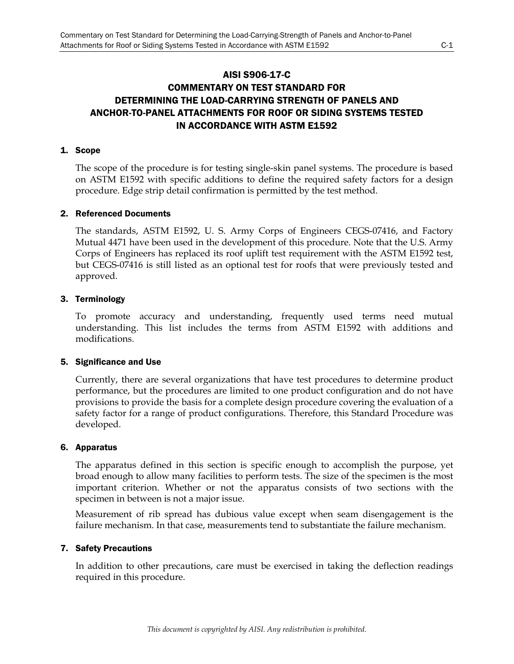## AISI S906-17-C COMMENTARY ON TEST STANDARD FOR DETERMINING THE LOAD-CARRYING STRENGTH OF PANELS AND ANCHOR-TO-PANEL ATTACHMENTS FOR ROOF OR SIDING SYSTEMS TESTED IN ACCORDANCE WITH ASTM E1592

## 1. Scope

The scope of the procedure is for testing single-skin panel systems. The procedure is based on ASTM E1592 with specific additions to define the required safety factors for a design procedure. Edge strip detail confirmation is permitted by the test method.

## 2. Referenced Documents

The standards, ASTM E1592, U. S. Army Corps of Engineers CEGS-07416, and Factory Mutual 4471 have been used in the development of this procedure. Note that the U.S. Army Corps of Engineers has replaced its roof uplift test requirement with the ASTM E1592 test, but CEGS-07416 is still listed as an optional test for roofs that were previously tested and approved.

## 3. Terminology

To promote accuracy and understanding, frequently used terms need mutual understanding. This list includes the terms from ASTM E1592 with additions and modifications.

## 5. Significance and Use

Currently, there are several organizations that have test procedures to determine product performance, but the procedures are limited to one product configuration and do not have provisions to provide the basis for a complete design procedure covering the evaluation of a safety factor for a range of product configurations. Therefore, this Standard Procedure was developed.

## 6. Apparatus

The apparatus defined in this section is specific enough to accomplish the purpose, yet broad enough to allow many facilities to perform tests. The size of the specimen is the most important criterion. Whether or not the apparatus consists of two sections with the specimen in between is not a major issue.

Measurement of rib spread has dubious value except when seam disengagement is the failure mechanism. In that case, measurements tend to substantiate the failure mechanism.

## 7. Safety Precautions

In addition to other precautions, care must be exercised in taking the deflection readings required in this procedure.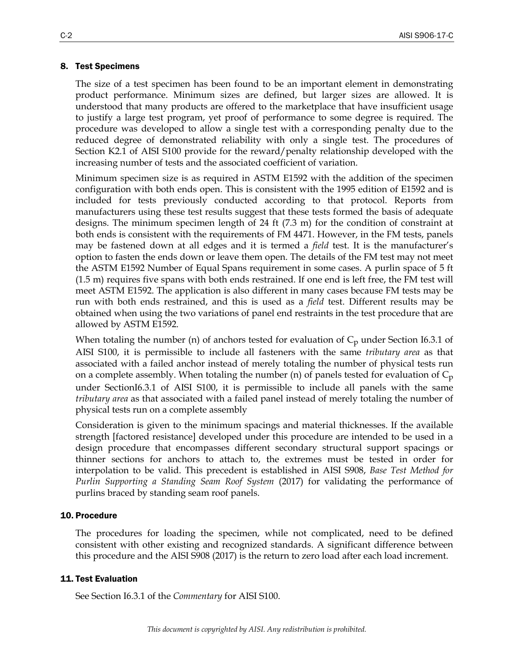## 8. Test Specimens

The size of a test specimen has been found to be an important element in demonstrating product performance. Minimum sizes are defined, but larger sizes are allowed. It is understood that many products are offered to the marketplace that have insufficient usage to justify a large test program, yet proof of performance to some degree is required. The procedure was developed to allow a single test with a corresponding penalty due to the reduced degree of demonstrated reliability with only a single test. The procedures of Section K2.1 of AISI S100 provide for the reward/penalty relationship developed with the increasing number of tests and the associated coefficient of variation.

Minimum specimen size is as required in ASTM E1592 with the addition of the specimen configuration with both ends open. This is consistent with the 1995 edition of E1592 and is included for tests previously conducted according to that protocol. Reports from manufacturers using these test results suggest that these tests formed the basis of adequate designs. The minimum specimen length of 24 ft (7.3 m) for the condition of constraint at both ends is consistent with the requirements of FM 4471. However, in the FM tests, panels may be fastened down at all edges and it is termed a *field* test. It is the manufacturer's option to fasten the ends down or leave them open. The details of the FM test may not meet the ASTM E1592 Number of Equal Spans requirement in some cases. A purlin space of 5 ft (1.5 m) requires five spans with both ends restrained. If one end is left free, the FM test will meet ASTM E1592. The application is also different in many cases because FM tests may be run with both ends restrained, and this is used as a *field* test. Different results may be obtained when using the two variations of panel end restraints in the test procedure that are allowed by ASTM E1592.

When totaling the number (n) of anchors tested for evaluation of  $C_p$  under Section I6.3.1 of AISI S100, it is permissible to include all fasteners with the same *tributary area* as that associated with a failed anchor instead of merely totaling the number of physical tests run on a complete assembly. When totaling the number (n) of panels tested for evaluation of  $C_p$ under SectionI6.3.1 of AISI S100, it is permissible to include all panels with the same *tributary area* as that associated with a failed panel instead of merely totaling the number of physical tests run on a complete assembly

Consideration is given to the minimum spacings and material thicknesses. If the available strength [factored resistance] developed under this procedure are intended to be used in a design procedure that encompasses different secondary structural support spacings or thinner sections for anchors to attach to, the extremes must be tested in order for interpolation to be valid. This precedent is established in AISI S908, *Base Test Method for Purlin Supporting a Standing Seam Roof System* (2017) for validating the performance of purlins braced by standing seam roof panels.

## 10. Procedure

The procedures for loading the specimen, while not complicated, need to be defined consistent with other existing and recognized standards. A significant difference between this procedure and the AISI S908 (2017) is the return to zero load after each load increment.

## 11. Test Evaluation

See Section I6.3.1 of the *Commentary* for AISI S100.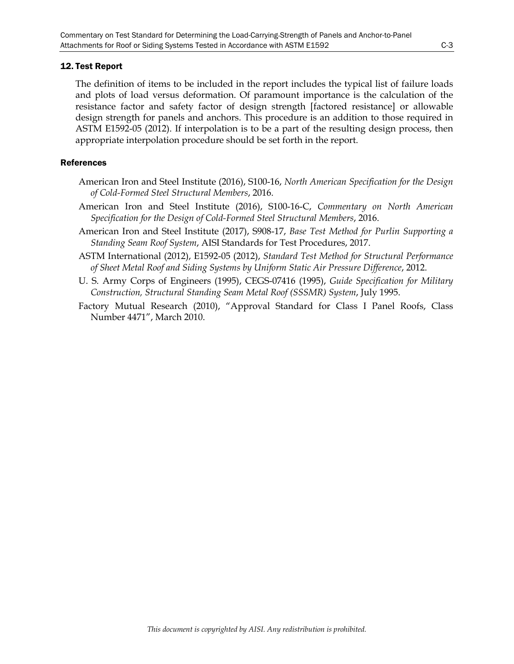## 12. Test Report

The definition of items to be included in the report includes the typical list of failure loads and plots of load versus deformation. Of paramount importance is the calculation of the resistance factor and safety factor of design strength [factored resistance] or allowable design strength for panels and anchors. This procedure is an addition to those required in ASTM E1592-05 (2012). If interpolation is to be a part of the resulting design process, then appropriate interpolation procedure should be set forth in the report.

#### References

- American Iron and Steel Institute (2016), S100-16, *North American Specification for the Design of Cold-Formed Steel Structural Members*, 2016.
- American Iron and Steel Institute (2016), S100-16-C, *Commentary on North American Specification for the Design of Cold-Formed Steel Structural Members*, 2016.
- American Iron and Steel Institute (2017), S908-17, *Base Test Method for Purlin Supporting a Standing Seam Roof System*, AISI Standards for Test Procedures, 2017.
- ASTM International (2012), E1592-05 (2012), *Standard Test Method for Structural Performance of Sheet Metal Roof and Siding Systems by Uniform Static Air Pressure Difference*, 2012.
- U. S. Army Corps of Engineers (1995), CEGS-07416 (1995), *Guide Specification for Military Construction, Structural Standing Seam Metal Roof (SSSMR) System*, July 1995.
- Factory Mutual Research (2010), "Approval Standard for Class I Panel Roofs, Class Number 4471", March 2010.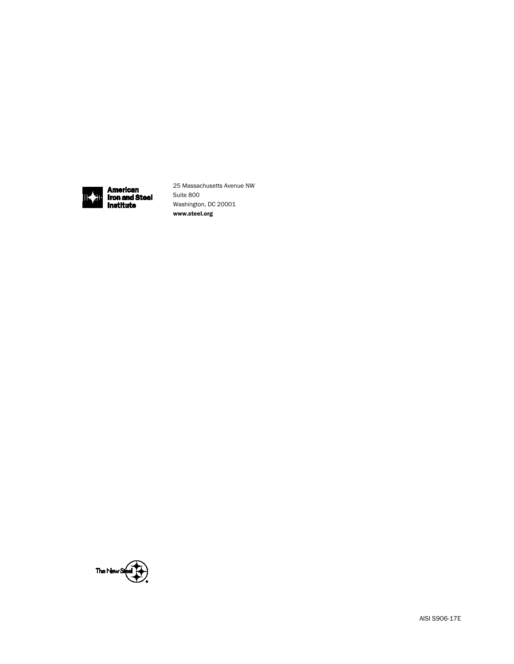

**American<br>Iron and Steel<br>Institute** 

25 Massachusetts Avenue NW 25 Massachusetts Avenue NW Suite 800 Suite 800 Washington, DC 20001 Washington, DC 20001 www.steel.org www.steel.org